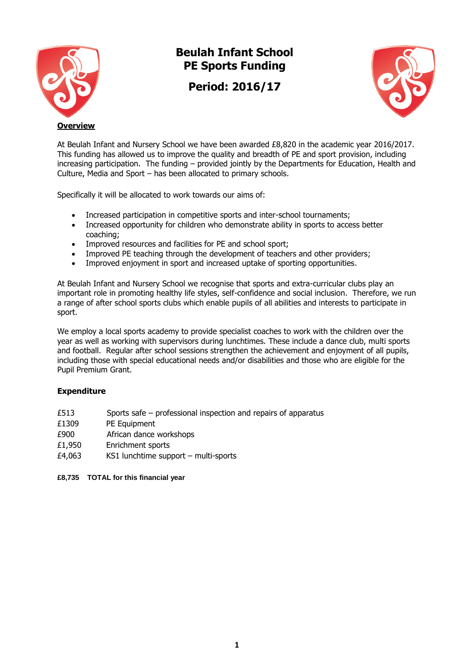

## **Beulah Infant School PE Sports Funding**

**Period: 2016/17**



At Beulah Infant and Nursery School we have been awarded £8,820 in the academic year 2016/2017. This funding has allowed us to improve the quality and breadth of PE and sport provision, including increasing participation. The funding – provided jointly by the Departments for Education, Health and Culture, Media and Sport – has been allocated to primary schools.

Specifically it will be allocated to work towards our aims of:

- Increased participation in competitive sports and inter-school tournaments;
- Increased opportunity for children who demonstrate ability in sports to access better coaching;
- Improved resources and facilities for PE and school sport;
- Improved PE teaching through the development of teachers and other providers;
- Improved enjoyment in sport and increased uptake of sporting opportunities.

At Beulah Infant and Nursery School we recognise that sports and extra-curricular clubs play an important role in promoting healthy life styles, self-confidence and social inclusion. Therefore, we run a range of after school sports clubs which enable pupils of all abilities and interests to participate in sport.

We employ a local sports academy to provide specialist coaches to work with the children over the year as well as working with supervisors during lunchtimes. These include a dance club, multi sports and football. Regular after school sessions strengthen the achievement and enjoyment of all pupils, including those with special educational needs and/or disabilities and those who are eligible for the Pupil Premium Grant.

## **Expenditure**

- £513 Sports safe professional inspection and repairs of apparatus
- £1309 PE Equipment
- £900 African dance workshops
- £1,950 Enrichment sports
- £4,063 KS1 lunchtime support multi-sports

**£8,735 TOTAL for this financial year**